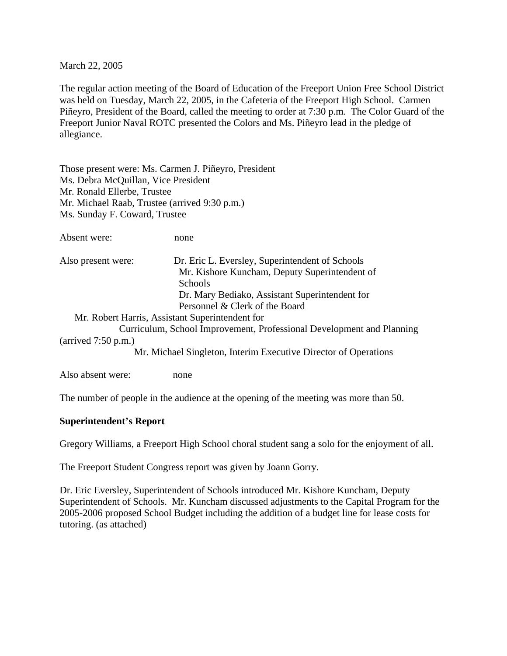March 22, 2005

The regular action meeting of the Board of Education of the Freeport Union Free School District was held on Tuesday, March 22, 2005, in the Cafeteria of the Freeport High School. Carmen Piñeyro, President of the Board, called the meeting to order at 7:30 p.m. The Color Guard of the Freeport Junior Naval ROTC presented the Colors and Ms. Piñeyro lead in the pledge of allegiance.

Those present were: Ms. Carmen J. Piñeyro, President Ms. Debra McQuillan, Vice President Mr. Ronald Ellerbe, Trustee Mr. Michael Raab, Trustee (arrived 9:30 p.m.) Ms. Sunday F. Coward, Trustee

| Also present were: | Dr. Eric L. Eversley, Superintendent of Schools |
|--------------------|-------------------------------------------------|
|                    | Mr. Kishore Kuncham, Deputy Superintendent of   |
|                    | <b>Schools</b>                                  |
|                    | Dr. Mary Bediako, Assistant Superintendent for  |
|                    | Personnel & Clerk of the Board                  |
|                    | Mu Deheut Heure Aesistent Computer deut feu     |

 Mr. Robert Harris, Assistant Superintendent for Curriculum, School Improvement, Professional Development and Planning (arrived 7:50 p.m.)

Mr. Michael Singleton, Interim Executive Director of Operations

Also absent were: none

The number of people in the audience at the opening of the meeting was more than 50.

#### **Superintendent's Report**

Gregory Williams, a Freeport High School choral student sang a solo for the enjoyment of all.

The Freeport Student Congress report was given by Joann Gorry.

Dr. Eric Eversley, Superintendent of Schools introduced Mr. Kishore Kuncham, Deputy Superintendent of Schools. Mr. Kuncham discussed adjustments to the Capital Program for the 2005-2006 proposed School Budget including the addition of a budget line for lease costs for tutoring. (as attached)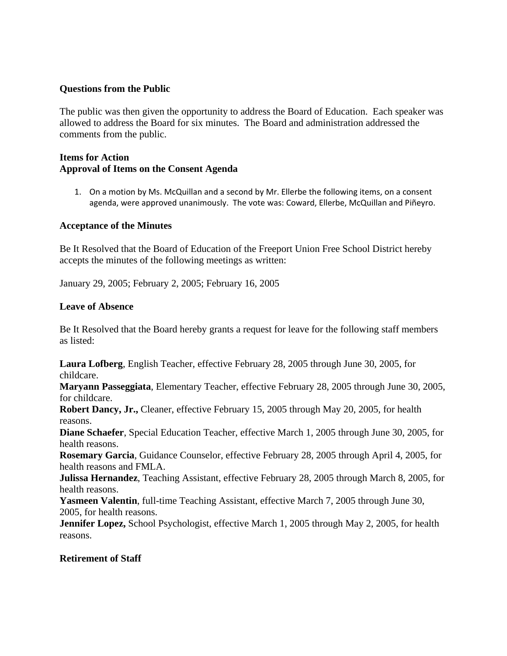#### **Questions from the Public**

The public was then given the opportunity to address the Board of Education. Each speaker was allowed to address the Board for six minutes. The Board and administration addressed the comments from the public.

#### **Items for Action Approval of Items on the Consent Agenda**

1. On a motion by Ms. McQuillan and a second by Mr. Ellerbe the following items, on a consent agenda, were approved unanimously. The vote was: Coward, Ellerbe, McQuillan and Piñeyro.

#### **Acceptance of the Minutes**

Be It Resolved that the Board of Education of the Freeport Union Free School District hereby accepts the minutes of the following meetings as written:

January 29, 2005; February 2, 2005; February 16, 2005

#### **Leave of Absence**

Be It Resolved that the Board hereby grants a request for leave for the following staff members as listed:

**Laura Lofberg**, English Teacher, effective February 28, 2005 through June 30, 2005, for childcare.

**Maryann Passeggiata**, Elementary Teacher, effective February 28, 2005 through June 30, 2005, for childcare.

**Robert Dancy, Jr.,** Cleaner, effective February 15, 2005 through May 20, 2005, for health reasons.

**Diane Schaefer**, Special Education Teacher, effective March 1, 2005 through June 30, 2005, for health reasons.

**Rosemary Garcia**, Guidance Counselor, effective February 28, 2005 through April 4, 2005, for health reasons and FMLA.

**Julissa Hernandez**, Teaching Assistant, effective February 28, 2005 through March 8, 2005, for health reasons.

**Yasmeen Valentin**, full-time Teaching Assistant, effective March 7, 2005 through June 30, 2005, for health reasons.

**Jennifer Lopez,** School Psychologist, effective March 1, 2005 through May 2, 2005, for health reasons.

#### **Retirement of Staff**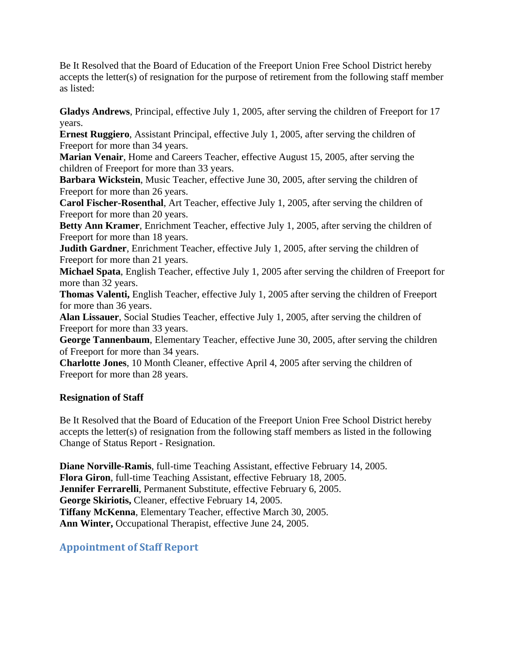Be It Resolved that the Board of Education of the Freeport Union Free School District hereby accepts the letter(s) of resignation for the purpose of retirement from the following staff member as listed:

**Gladys Andrews**, Principal, effective July 1, 2005, after serving the children of Freeport for 17 years.

**Ernest Ruggiero**, Assistant Principal, effective July 1, 2005, after serving the children of Freeport for more than 34 years.

**Marian Venair**, Home and Careers Teacher, effective August 15, 2005, after serving the children of Freeport for more than 33 years.

**Barbara Wickstein**, Music Teacher, effective June 30, 2005, after serving the children of Freeport for more than 26 years.

**Carol Fischer-Rosenthal**, Art Teacher, effective July 1, 2005, after serving the children of Freeport for more than 20 years.

**Betty Ann Kramer**, Enrichment Teacher, effective July 1, 2005, after serving the children of Freeport for more than 18 years.

**Judith Gardner**, Enrichment Teacher, effective July 1, 2005, after serving the children of Freeport for more than 21 years.

**Michael Spata**, English Teacher, effective July 1, 2005 after serving the children of Freeport for more than 32 years.

**Thomas Valenti,** English Teacher, effective July 1, 2005 after serving the children of Freeport for more than 36 years.

**Alan Lissauer**, Social Studies Teacher, effective July 1, 2005, after serving the children of Freeport for more than 33 years.

**George Tannenbaum**, Elementary Teacher, effective June 30, 2005, after serving the children of Freeport for more than 34 years.

**Charlotte Jones**, 10 Month Cleaner, effective April 4, 2005 after serving the children of Freeport for more than 28 years.

## **Resignation of Staff**

Be It Resolved that the Board of Education of the Freeport Union Free School District hereby accepts the letter(s) of resignation from the following staff members as listed in the following Change of Status Report - Resignation.

**Diane Norville-Ramis**, full-time Teaching Assistant, effective February 14, 2005. **Flora Giron**, full-time Teaching Assistant, effective February 18, 2005. **Jennifer Ferrarelli**, Permanent Substitute, effective February 6, 2005. **George Skiriotis,** Cleaner, effective February 14, 2005. **Tiffany McKenna**, Elementary Teacher, effective March 30, 2005. **Ann Winter,** Occupational Therapist, effective June 24, 2005.

# **Appointment of Staff Report**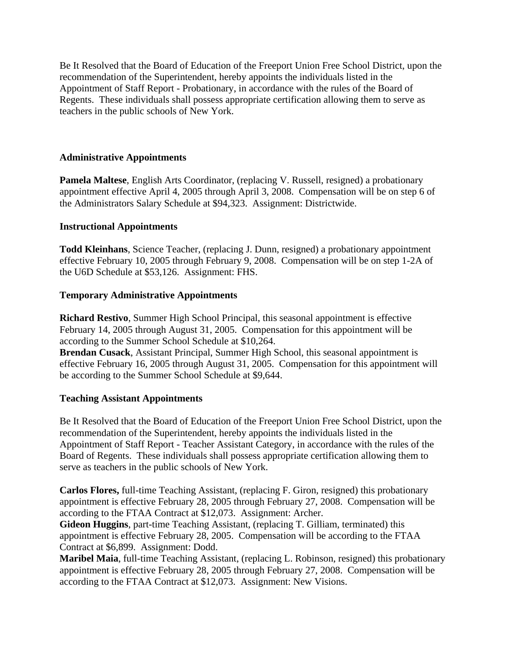Be It Resolved that the Board of Education of the Freeport Union Free School District, upon the recommendation of the Superintendent, hereby appoints the individuals listed in the Appointment of Staff Report - Probationary, in accordance with the rules of the Board of Regents. These individuals shall possess appropriate certification allowing them to serve as teachers in the public schools of New York.

#### **Administrative Appointments**

**Pamela Maltese**, English Arts Coordinator, (replacing V. Russell, resigned) a probationary appointment effective April 4, 2005 through April 3, 2008. Compensation will be on step 6 of the Administrators Salary Schedule at \$94,323. Assignment: Districtwide.

#### **Instructional Appointments**

**Todd Kleinhans**, Science Teacher, (replacing J. Dunn, resigned) a probationary appointment effective February 10, 2005 through February 9, 2008. Compensation will be on step 1-2A of the U6D Schedule at \$53,126. Assignment: FHS.

#### **Temporary Administrative Appointments**

**Richard Restivo**, Summer High School Principal, this seasonal appointment is effective February 14, 2005 through August 31, 2005. Compensation for this appointment will be according to the Summer School Schedule at \$10,264.

**Brendan Cusack**, Assistant Principal, Summer High School, this seasonal appointment is effective February 16, 2005 through August 31, 2005. Compensation for this appointment will be according to the Summer School Schedule at \$9,644.

#### **Teaching Assistant Appointments**

Be It Resolved that the Board of Education of the Freeport Union Free School District, upon the recommendation of the Superintendent, hereby appoints the individuals listed in the Appointment of Staff Report - Teacher Assistant Category, in accordance with the rules of the Board of Regents. These individuals shall possess appropriate certification allowing them to serve as teachers in the public schools of New York.

**Carlos Flores,** full-time Teaching Assistant, (replacing F. Giron, resigned) this probationary appointment is effective February 28, 2005 through February 27, 2008. Compensation will be according to the FTAA Contract at \$12,073. Assignment: Archer.

**Gideon Huggins**, part-time Teaching Assistant, (replacing T. Gilliam, terminated) this appointment is effective February 28, 2005. Compensation will be according to the FTAA Contract at \$6,899. Assignment: Dodd.

**Maribel Maia**, full-time Teaching Assistant, (replacing L. Robinson, resigned) this probationary appointment is effective February 28, 2005 through February 27, 2008. Compensation will be according to the FTAA Contract at \$12,073. Assignment: New Visions.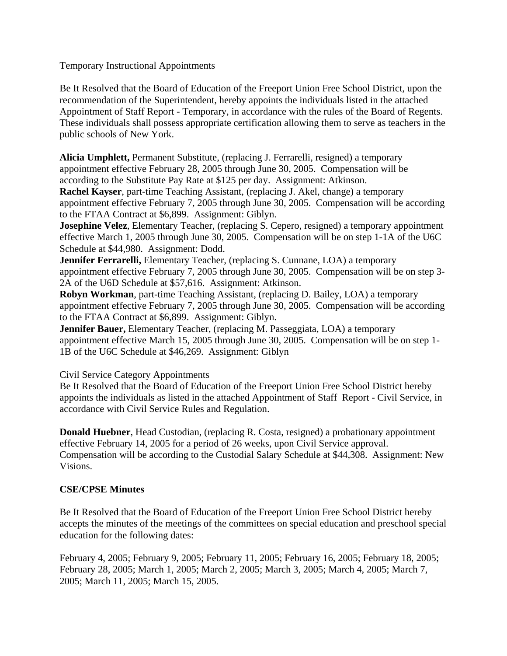Temporary Instructional Appointments

Be It Resolved that the Board of Education of the Freeport Union Free School District, upon the recommendation of the Superintendent, hereby appoints the individuals listed in the attached Appointment of Staff Report - Temporary, in accordance with the rules of the Board of Regents. These individuals shall possess appropriate certification allowing them to serve as teachers in the public schools of New York.

**Alicia Umphlett,** Permanent Substitute, (replacing J. Ferrarelli, resigned) a temporary appointment effective February 28, 2005 through June 30, 2005. Compensation will be according to the Substitute Pay Rate at \$125 per day. Assignment: Atkinson.

**Rachel Kayser**, part-time Teaching Assistant, (replacing J. Akel, change) a temporary appointment effective February 7, 2005 through June 30, 2005. Compensation will be according to the FTAA Contract at \$6,899. Assignment: Giblyn.

**Josephine Velez**, Elementary Teacher, (replacing S. Cepero, resigned) a temporary appointment effective March 1, 2005 through June 30, 2005. Compensation will be on step 1-1A of the U6C Schedule at \$44,980. Assignment: Dodd.

**Jennifer Ferrarelli,** Elementary Teacher, (replacing S. Cunnane, LOA) a temporary appointment effective February 7, 2005 through June 30, 2005. Compensation will be on step 3- 2A of the U6D Schedule at \$57,616. Assignment: Atkinson.

**Robyn Workman**, part-time Teaching Assistant, (replacing D. Bailey, LOA) a temporary appointment effective February 7, 2005 through June 30, 2005. Compensation will be according to the FTAA Contract at \$6,899. Assignment: Giblyn.

**Jennifer Bauer,** Elementary Teacher, (replacing M. Passeggiata, LOA) a temporary appointment effective March 15, 2005 through June 30, 2005. Compensation will be on step 1- 1B of the U6C Schedule at \$46,269. Assignment: Giblyn

Civil Service Category Appointments

Be It Resolved that the Board of Education of the Freeport Union Free School District hereby appoints the individuals as listed in the attached Appointment of Staff Report - Civil Service, in accordance with Civil Service Rules and Regulation.

**Donald Huebner**, Head Custodian, (replacing R. Costa, resigned) a probationary appointment effective February 14, 2005 for a period of 26 weeks, upon Civil Service approval. Compensation will be according to the Custodial Salary Schedule at \$44,308. Assignment: New Visions.

## **CSE/CPSE Minutes**

Be It Resolved that the Board of Education of the Freeport Union Free School District hereby accepts the minutes of the meetings of the committees on special education and preschool special education for the following dates:

February 4, 2005; February 9, 2005; February 11, 2005; February 16, 2005; February 18, 2005; February 28, 2005; March 1, 2005; March 2, 2005; March 3, 2005; March 4, 2005; March 7, 2005; March 11, 2005; March 15, 2005.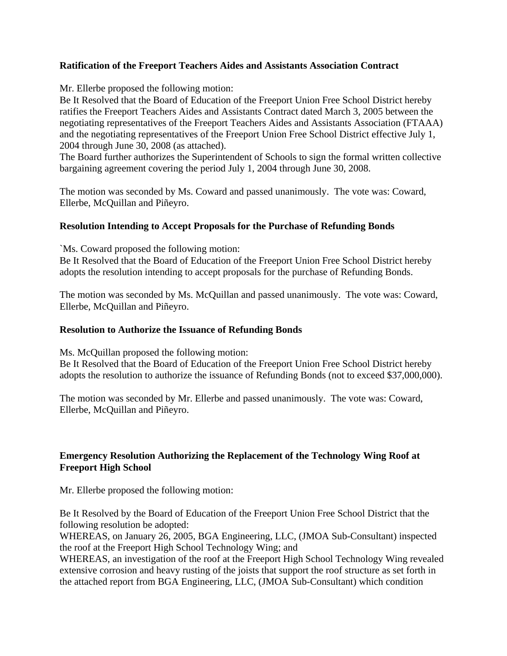### **Ratification of the Freeport Teachers Aides and Assistants Association Contract**

Mr. Ellerbe proposed the following motion:

Be It Resolved that the Board of Education of the Freeport Union Free School District hereby ratifies the Freeport Teachers Aides and Assistants Contract dated March 3, 2005 between the negotiating representatives of the Freeport Teachers Aides and Assistants Association (FTAAA) and the negotiating representatives of the Freeport Union Free School District effective July 1, 2004 through June 30, 2008 (as attached).

The Board further authorizes the Superintendent of Schools to sign the formal written collective bargaining agreement covering the period July 1, 2004 through June 30, 2008.

The motion was seconded by Ms. Coward and passed unanimously. The vote was: Coward, Ellerbe, McQuillan and Piñeyro.

### **Resolution Intending to Accept Proposals for the Purchase of Refunding Bonds**

`Ms. Coward proposed the following motion:

Be It Resolved that the Board of Education of the Freeport Union Free School District hereby adopts the resolution intending to accept proposals for the purchase of Refunding Bonds.

The motion was seconded by Ms. McQuillan and passed unanimously. The vote was: Coward, Ellerbe, McQuillan and Piñeyro.

#### **Resolution to Authorize the Issuance of Refunding Bonds**

Ms. McQuillan proposed the following motion:

Be It Resolved that the Board of Education of the Freeport Union Free School District hereby adopts the resolution to authorize the issuance of Refunding Bonds (not to exceed \$37,000,000).

The motion was seconded by Mr. Ellerbe and passed unanimously. The vote was: Coward, Ellerbe, McQuillan and Piñeyro.

## **Emergency Resolution Authorizing the Replacement of the Technology Wing Roof at Freeport High School**

Mr. Ellerbe proposed the following motion:

Be It Resolved by the Board of Education of the Freeport Union Free School District that the following resolution be adopted:

WHEREAS, on January 26, 2005, BGA Engineering, LLC, (JMOA Sub-Consultant) inspected the roof at the Freeport High School Technology Wing; and

WHEREAS, an investigation of the roof at the Freeport High School Technology Wing revealed extensive corrosion and heavy rusting of the joists that support the roof structure as set forth in the attached report from BGA Engineering, LLC, (JMOA Sub-Consultant) which condition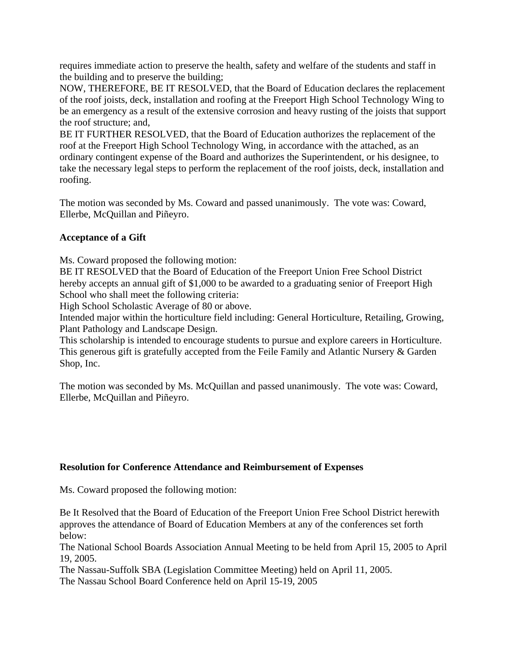requires immediate action to preserve the health, safety and welfare of the students and staff in the building and to preserve the building;

NOW, THEREFORE, BE IT RESOLVED, that the Board of Education declares the replacement of the roof joists, deck, installation and roofing at the Freeport High School Technology Wing to be an emergency as a result of the extensive corrosion and heavy rusting of the joists that support the roof structure; and,

BE IT FURTHER RESOLVED, that the Board of Education authorizes the replacement of the roof at the Freeport High School Technology Wing, in accordance with the attached, as an ordinary contingent expense of the Board and authorizes the Superintendent, or his designee, to take the necessary legal steps to perform the replacement of the roof joists, deck, installation and roofing.

The motion was seconded by Ms. Coward and passed unanimously. The vote was: Coward, Ellerbe, McQuillan and Piñeyro.

### **Acceptance of a Gift**

Ms. Coward proposed the following motion:

BE IT RESOLVED that the Board of Education of the Freeport Union Free School District hereby accepts an annual gift of \$1,000 to be awarded to a graduating senior of Freeport High School who shall meet the following criteria:

High School Scholastic Average of 80 or above.

Intended major within the horticulture field including: General Horticulture, Retailing, Growing, Plant Pathology and Landscape Design.

This scholarship is intended to encourage students to pursue and explore careers in Horticulture. This generous gift is gratefully accepted from the Feile Family and Atlantic Nursery & Garden Shop, Inc.

The motion was seconded by Ms. McQuillan and passed unanimously. The vote was: Coward, Ellerbe, McQuillan and Piñeyro.

#### **Resolution for Conference Attendance and Reimbursement of Expenses**

Ms. Coward proposed the following motion:

Be It Resolved that the Board of Education of the Freeport Union Free School District herewith approves the attendance of Board of Education Members at any of the conferences set forth below:

The National School Boards Association Annual Meeting to be held from April 15, 2005 to April 19, 2005.

The Nassau-Suffolk SBA (Legislation Committee Meeting) held on April 11, 2005.

The Nassau School Board Conference held on April 15-19, 2005